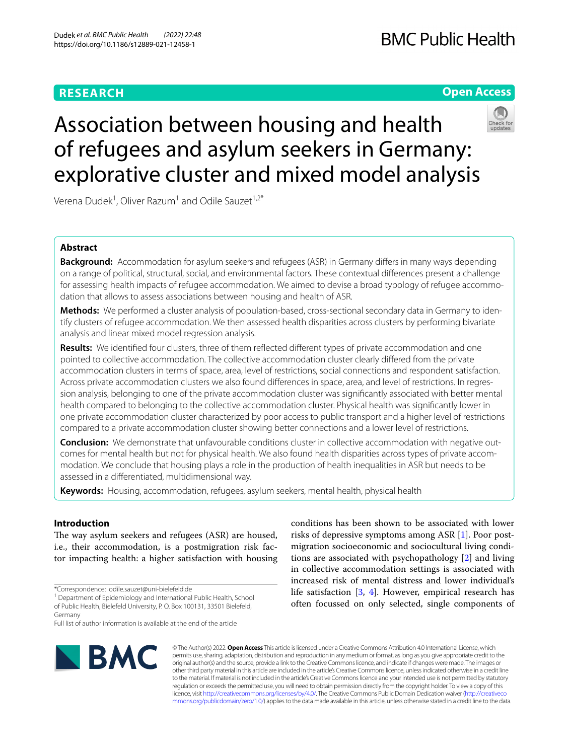# **RESEARCH**

# **Open Access**



# Association between housing and health of refugees and asylum seekers in Germany: explorative cluster and mixed model analysis

Verena Dudek $^1$ , Oliver Razum $^1$  and Odile Sauzet $^{1,2^\ast}$ 

# **Abstract**

**Background:** Accommodation for asylum seekers and refugees (ASR) in Germany differs in many ways depending on a range of political, structural, social, and environmental factors. These contextual diferences present a challenge for assessing health impacts of refugee accommodation. We aimed to devise a broad typology of refugee accommodation that allows to assess associations between housing and health of ASR.

**Methods:** We performed a cluster analysis of population-based, cross-sectional secondary data in Germany to identify clusters of refugee accommodation. We then assessed health disparities across clusters by performing bivariate analysis and linear mixed model regression analysis.

Results: We identified four clusters, three of them reflected different types of private accommodation and one pointed to collective accommodation. The collective accommodation cluster clearly difered from the private accommodation clusters in terms of space, area, level of restrictions, social connections and respondent satisfaction. Across private accommodation clusters we also found diferences in space, area, and level of restrictions. In regression analysis, belonging to one of the private accommodation cluster was signifcantly associated with better mental health compared to belonging to the collective accommodation cluster. Physical health was signifcantly lower in one private accommodation cluster characterized by poor access to public transport and a higher level of restrictions compared to a private accommodation cluster showing better connections and a lower level of restrictions.

**Conclusion:** We demonstrate that unfavourable conditions cluster in collective accommodation with negative outcomes for mental health but not for physical health. We also found health disparities across types of private accommodation. We conclude that housing plays a role in the production of health inequalities in ASR but needs to be assessed in a diferentiated, multidimensional way.

**Keywords:** Housing, accommodation, refugees, asylum seekers, mental health, physical health

## **Introduction**

The way asylum seekers and refugees (ASR) are housed, i.e., their accommodation, is a postmigration risk factor impacting health: a higher satisfaction with housing

Full list of author information is available at the end of the article



conditions has been shown to be associated with lower risks of depressive symptoms among ASR [\[1](#page-8-0)]. Poor postmigration socioeconomic and sociocultural living conditions are associated with psychopathology [\[2](#page-8-1)] and living in collective accommodation settings is associated with increased risk of mental distress and lower individual's life satisfaction [\[3,](#page-8-2) [4](#page-8-3)]. However, empirical research has often focussed on only selected, single components of

© The Author(s) 2022. **Open Access** This article is licensed under a Creative Commons Attribution 4.0 International License, which permits use, sharing, adaptation, distribution and reproduction in any medium or format, as long as you give appropriate credit to the original author(s) and the source, provide a link to the Creative Commons licence, and indicate if changes were made. The images or other third party material in this article are included in the article's Creative Commons licence, unless indicated otherwise in a credit line to the material. If material is not included in the article's Creative Commons licence and your intended use is not permitted by statutory regulation or exceeds the permitted use, you will need to obtain permission directly from the copyright holder. To view a copy of this licence, visit [http://creativecommons.org/licenses/by/4.0/.](http://creativecommons.org/licenses/by/4.0/) The Creative Commons Public Domain Dedication waiver ([http://creativeco](http://creativecommons.org/publicdomain/zero/1.0/) [mmons.org/publicdomain/zero/1.0/](http://creativecommons.org/publicdomain/zero/1.0/)) applies to the data made available in this article, unless otherwise stated in a credit line to the data.

<sup>\*</sup>Correspondence: odile.sauzet@uni-bielefeld.de

<sup>&</sup>lt;sup>1</sup> Department of Epidemiology and International Public Health, School of Public Health, Bielefeld University, P. O. Box 100131, 33501 Bielefeld, Germany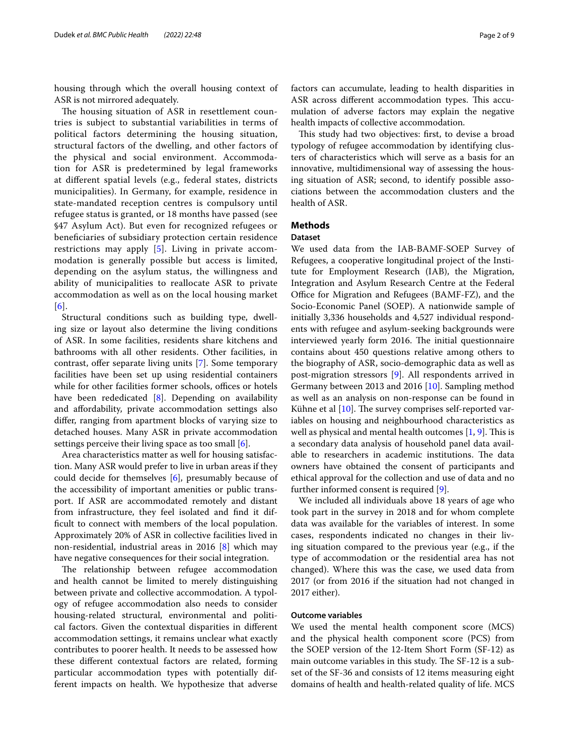housing through which the overall housing context of ASR is not mirrored adequately.

The housing situation of ASR in resettlement countries is subject to substantial variabilities in terms of political factors determining the housing situation, structural factors of the dwelling, and other factors of the physical and social environment. Accommodation for ASR is predetermined by legal frameworks at diferent spatial levels (e.g., federal states, districts municipalities). In Germany, for example, residence in state-mandated reception centres is compulsory until refugee status is granted, or 18 months have passed (see §47 Asylum Act). But even for recognized refugees or benefciaries of subsidiary protection certain residence restrictions may apply [[5\]](#page-8-4). Living in private accommodation is generally possible but access is limited, depending on the asylum status, the willingness and ability of municipalities to reallocate ASR to private accommodation as well as on the local housing market [[6](#page-8-5)].

Structural conditions such as building type, dwelling size or layout also determine the living conditions of ASR. In some facilities, residents share kitchens and bathrooms with all other residents. Other facilities, in contrast, offer separate living units [[7\]](#page-8-6). Some temporary facilities have been set up using residential containers while for other facilities former schools, offices or hotels have been rededicated [[8](#page-8-7)]. Depending on availability and afordability, private accommodation settings also difer, ranging from apartment blocks of varying size to detached houses. Many ASR in private accommodation settings perceive their living space as too small [[6\]](#page-8-5).

Area characteristics matter as well for housing satisfaction. Many ASR would prefer to live in urban areas if they could decide for themselves [\[6\]](#page-8-5), presumably because of the accessibility of important amenities or public transport. If ASR are accommodated remotely and distant from infrastructure, they feel isolated and fnd it difficult to connect with members of the local population. Approximately 20% of ASR in collective facilities lived in non-residential, industrial areas in 2016 [[8\]](#page-8-7) which may have negative consequences for their social integration.

The relationship between refugee accommodation and health cannot be limited to merely distinguishing between private and collective accommodation. A typology of refugee accommodation also needs to consider housing-related structural, environmental and political factors. Given the contextual disparities in diferent accommodation settings, it remains unclear what exactly contributes to poorer health. It needs to be assessed how these diferent contextual factors are related, forming particular accommodation types with potentially different impacts on health. We hypothesize that adverse factors can accumulate, leading to health disparities in ASR across different accommodation types. This accumulation of adverse factors may explain the negative health impacts of collective accommodation.

This study had two objectives: first, to devise a broad typology of refugee accommodation by identifying clusters of characteristics which will serve as a basis for an innovative, multidimensional way of assessing the housing situation of ASR; second, to identify possible associations between the accommodation clusters and the health of ASR.

#### **Methods**

#### **Dataset**

We used data from the IAB-BAMF-SOEP Survey of Refugees, a cooperative longitudinal project of the Institute for Employment Research (IAB), the Migration, Integration and Asylum Research Centre at the Federal Office for Migration and Refugees (BAMF-FZ), and the Socio-Economic Panel (SOEP). A nationwide sample of initially 3,336 households and 4,527 individual respondents with refugee and asylum-seeking backgrounds were interviewed yearly form 2016. The initial questionnaire contains about 450 questions relative among others to the biography of ASR, socio-demographic data as well as post-migration stressors [[9\]](#page-8-8). All respondents arrived in Germany between 2013 and 2016 [[10\]](#page-8-9). Sampling method as well as an analysis on non-response can be found in Kühne et al  $[10]$  $[10]$ . The survey comprises self-reported variables on housing and neighbourhood characteristics as well as physical and mental health outcomes  $[1, 9]$  $[1, 9]$  $[1, 9]$ . This is a secondary data analysis of household panel data available to researchers in academic institutions. The data owners have obtained the consent of participants and ethical approval for the collection and use of data and no further informed consent is required [[9\]](#page-8-8).

We included all individuals above 18 years of age who took part in the survey in 2018 and for whom complete data was available for the variables of interest. In some cases, respondents indicated no changes in their living situation compared to the previous year (e.g., if the type of accommodation or the residential area has not changed). Where this was the case, we used data from 2017 (or from 2016 if the situation had not changed in 2017 either).

#### **Outcome variables**

We used the mental health component score (MCS) and the physical health component score (PCS) from the SOEP version of the 12-Item Short Form (SF-12) as main outcome variables in this study. The SF-12 is a subset of the SF-36 and consists of 12 items measuring eight domains of health and health-related quality of life. MCS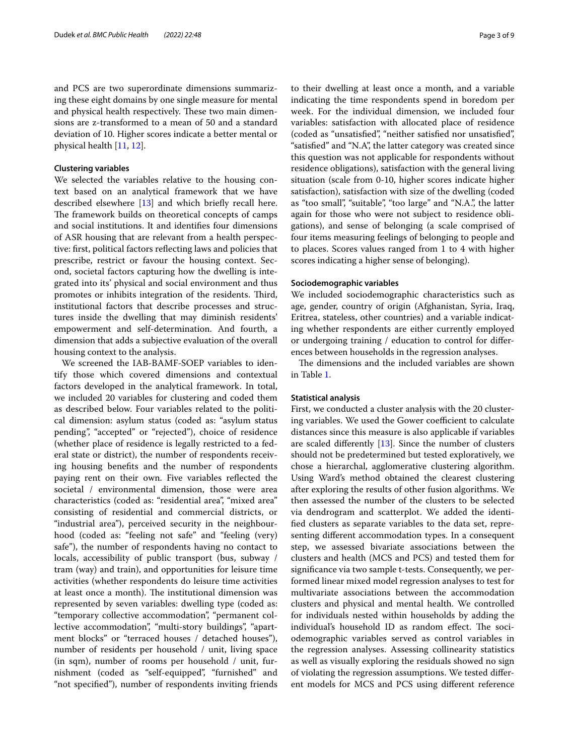and PCS are two superordinate dimensions summarizing these eight domains by one single measure for mental and physical health respectively. These two main dimensions are z-transformed to a mean of 50 and a standard deviation of 10. Higher scores indicate a better mental or physical health [\[11,](#page-8-10) [12](#page-8-11)].

#### **Clustering variables**

We selected the variables relative to the housing context based on an analytical framework that we have described elsewhere [\[13](#page-8-12)] and which briefy recall here. The framework builds on theoretical concepts of camps and social institutions. It and identifes four dimensions of ASR housing that are relevant from a health perspective: frst, political factors refecting laws and policies that prescribe, restrict or favour the housing context. Second, societal factors capturing how the dwelling is integrated into its' physical and social environment and thus promotes or inhibits integration of the residents. Third, institutional factors that describe processes and structures inside the dwelling that may diminish residents' empowerment and self-determination. And fourth, a dimension that adds a subjective evaluation of the overall housing context to the analysis.

We screened the IAB-BAMF-SOEP variables to identify those which covered dimensions and contextual factors developed in the analytical framework. In total, we included 20 variables for clustering and coded them as described below. Four variables related to the political dimension: asylum status (coded as: "asylum status pending", "accepted" or "rejected"), choice of residence (whether place of residence is legally restricted to a federal state or district), the number of respondents receiving housing benefts and the number of respondents paying rent on their own. Five variables refected the societal / environmental dimension, those were area characteristics (coded as: "residential area", "mixed area" consisting of residential and commercial districts, or "industrial area"), perceived security in the neighbourhood (coded as: "feeling not safe" and "feeling (very) safe"), the number of respondents having no contact to locals, accessibility of public transport (bus, subway / tram (way) and train), and opportunities for leisure time activities (whether respondents do leisure time activities at least once a month). The institutional dimension was represented by seven variables: dwelling type (coded as: "temporary collective accommodation", "permanent collective accommodation", "multi-story buildings", "apartment blocks" or "terraced houses / detached houses"), number of residents per household / unit, living space (in sqm), number of rooms per household / unit, furnishment (coded as "self-equipped", "furnished" and "not specifed"), number of respondents inviting friends to their dwelling at least once a month, and a variable indicating the time respondents spend in boredom per week. For the individual dimension, we included four variables: satisfaction with allocated place of residence (coded as "unsatisfed", "neither satisfed nor unsatisfed", "satisfed" and "N.A", the latter category was created since this question was not applicable for respondents without residence obligations), satisfaction with the general living situation (scale from 0-10, higher scores indicate higher satisfaction), satisfaction with size of the dwelling (coded as "too small", "suitable", "too large" and "N.A.", the latter again for those who were not subject to residence obligations), and sense of belonging (a scale comprised of four items measuring feelings of belonging to people and to places. Scores values ranged from 1 to 4 with higher scores indicating a higher sense of belonging).

#### **Sociodemographic variables**

We included sociodemographic characteristics such as age, gender, country of origin (Afghanistan, Syria, Iraq, Eritrea, stateless, other countries) and a variable indicating whether respondents are either currently employed or undergoing training / education to control for diferences between households in the regression analyses.

The dimensions and the included variables are shown in Table [1.](#page-3-0)

#### **Statistical analysis**

First, we conducted a cluster analysis with the 20 clustering variables. We used the Gower coefficient to calculate distances since this measure is also applicable if variables are scaled diferently [\[13](#page-8-12)]. Since the number of clusters should not be predetermined but tested exploratively, we chose a hierarchal, agglomerative clustering algorithm. Using Ward's method obtained the clearest clustering after exploring the results of other fusion algorithms. We then assessed the number of the clusters to be selected via dendrogram and scatterplot. We added the identifed clusters as separate variables to the data set, representing diferent accommodation types. In a consequent step, we assessed bivariate associations between the clusters and health (MCS and PCS) and tested them for signifcance via two sample t-tests. Consequently, we performed linear mixed model regression analyses to test for multivariate associations between the accommodation clusters and physical and mental health. We controlled for individuals nested within households by adding the individual's household ID as random effect. The sociodemographic variables served as control variables in the regression analyses. Assessing collinearity statistics as well as visually exploring the residuals showed no sign of violating the regression assumptions. We tested diferent models for MCS and PCS using diferent reference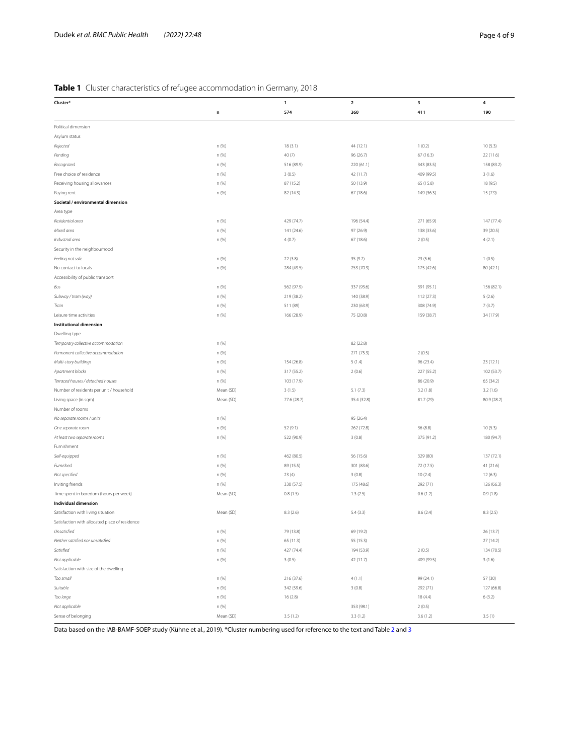### <span id="page-3-0"></span>**Table 1** Cluster characteristics of refugee accommodation in Germany, 2018

| Cluster*                                       |                | $\mathbf{1}$ | $\overline{2}$ | 3          | 4           |
|------------------------------------------------|----------------|--------------|----------------|------------|-------------|
|                                                |                | 574          | 360            | 411        | 190         |
|                                                | n              |              |                |            |             |
| Political dimension                            |                |              |                |            |             |
| Asylum status                                  |                |              |                |            |             |
| Rejected                                       | n (%)          | 18(3.1)      | 44 (12.1)      | 1(0.2)     | 10(5.3)     |
| Pending                                        | n (%)          | 40 (7)       | 96 (26.7)      | 67(16.3)   | 22 (11.6)   |
| Recognized                                     | n (%)          | 516 (89.9)   | 220 (61.1)     | 343 (83.5) | 158 (83.2)  |
| Free choice of residence                       | n (%)          | 3(0.5)       | 42 (11.7)      | 409 (99.5) | 3(1.6)      |
| Receiving housing allowances                   | n (%)          | 87 (15.2)    | 50 (13.9)      | 65 (15.8)  | 18 (9.5)    |
| Paying rent                                    | n (%)          | 82 (14.3)    | 67(18.6)       | 149 (36.3) | 15 (7.9)    |
| Societal / environmental dimension             |                |              |                |            |             |
| Area type                                      |                |              |                |            |             |
| Residential area                               | n (%)          | 429 (74.7)   | 196 (54.4)     | 271 (65.9) | 147 (77.4)  |
| Mixed area                                     | n (%)          | 141 (24.6)   | 97 (26.9)      | 138 (33.6) | 39 (20.5)   |
| Industrial area                                | n (%)          | 4(0.7)       | 67 (18.6)      | 2(0.5)     | 4(2.1)      |
| Security in the neighbourhood                  |                |              |                |            |             |
| Feeling not safe                               | n (%)          | 22(3.8)      | 35 (9.7)       | 23(5.6)    | 1(0.5)      |
| No contact to locals                           | n (%)          | 284 (49.5)   | 253 (70.3)     | 175 (42.6) | 80 (42.1)   |
| Accessibility of public transport              |                |              |                |            |             |
| Bus                                            | n (%)          | 562 (97.9)   | 337 (93.6)     | 391 (95.1) | 156 (82.1)  |
| Subway / tram (way)                            | n (%)          | 219 (38.2)   | 140 (38.9)     | 112 (27.3) | 5(2.6)      |
| Train                                          | n (%)          | 511 (89)     | 230 (63.9)     | 308 (74.9) | 7(3.7)      |
| Leisure time activities                        | n (%)          | 166 (28.9)   | 75 (20.8)      | 159 (38.7) | 34 (17.9)   |
| Institutional dimension                        |                |              |                |            |             |
| Dwelling type                                  |                |              |                |            |             |
| Temporary collective accommodation             | n (%)          |              | 82 (22.8)      |            |             |
| Permanent collective accommodation             | n (%)          |              | 271 (75.3)     | 2(0.5)     |             |
| Multi-story buildings                          | n (%)          | 154 (26.8)   | 5(1.4)         | 96 (23.4)  | 23 (12.1)   |
| Apartment blocks                               | n (%)          | 317 (55.2)   | 2(0.6)         | 227 (55.2) | 102 (53.7)  |
| Terraced houses / detached houses              | n (%)          | 103 (17.9)   |                | 86 (20.9)  | 65 (34.2)   |
| Number of residents per unit / household       | Mean (SD)      | 3(1.5)       | 5.1(7.3)       | 3.2(1.8)   | 3.2(1.6)    |
| Living space (in sqm)                          | Mean (SD)      | 77.6 (28.7)  | 35.4 (32.8)    | 81.7 (29)  | 80.9 (28.2) |
| Number of rooms                                |                |              |                |            |             |
|                                                |                |              | 95 (26.4)      |            |             |
| No separate rooms / units                      | n (%)<br>n (%) | 52 (9.1)     | 262 (72.8)     | 36 (8.8)   | 10(5.3)     |
| One separate room                              |                |              |                |            |             |
| At least two separate rooms                    | n (%)          | 522 (90.9)   | 3(0.8)         | 375 (91.2) | 180 (94.7)  |
| Furnishment                                    |                |              |                |            |             |
| Self-equipped                                  | n (%)          | 462 (80.5)   | 56 (15.6)      | 329 (80)   | 137 (72.1)  |
| Furnished                                      | n (%)          | 89 (15.5)    | 301 (83.6)     | 72 (17.5)  | 41 (21.6)   |
| Not specified                                  | n (%)          | 23(4)        | 3(0.8)         | 10(2.4)    | 12(6.3)     |
| Inviting friends                               | n (%)          | 330 (57.5)   | 175 (48.6)     | 292 (71)   | 126 (66.3)  |
| Time spent in boredom (hours per week)         | Mean (SD)      | 0.8(1.5)     | 1.3(2.5)       | 0.6(1.2)   | 0.9(1.8)    |
| Individual dimension                           |                |              |                |            |             |
| Satisfaction with living situation             | Mean (SD)      | 8.3(2.6)     | 5.4(3.3)       | 8.6(2.4)   | 8.3(2.5)    |
| Satisfaction with allocated place of residence |                |              |                |            |             |
| Unsatisfied                                    | n (%)          | 79 (13.8)    | 69 (19.2)      |            | 26 (13.7)   |
| Neither satisfied nor unsatisfied              | n (%)          | 65 (11.3)    | 55 (15.3)      |            | 27 (14.2)   |
| Satisfied                                      | n (%)          | 427 (74.4)   | 194 (53.9)     | 2(0.5)     | 134 (70.5)  |
| Not applicable                                 | n (%)          | 3(0.5)       | 42 (11.7)      | 409 (99.5) | 3(1.6)      |
| Satisfaction with size of the dwelling         |                |              |                |            |             |
| Too small                                      | n (%)          | 216 (37.6)   | 4(1.1)         | 99 (24.1)  | 57 (30)     |
| Suitable                                       | n (%)          | 342 (59.6)   | 3(0.8)         | 292 (71)   | 127 (66.8)  |
| Too large                                      | n (%)          | 16(2.8)      |                | 18 (4.4)   | 6(3.2)      |
| Not applicable                                 | n (%)          |              | 353 (98.1)     | 2(0.5)     |             |
| Sense of belonging                             | Mean (SD)      | 3.5(1.2)     | 3.3(1.2)       | 3.6(1.2)   | 3.5(1)      |

Data based on the IAB-BAMF-SOEP study (Kühne et al., 2019). \*Cluster numbering used for reference to the text and Table [2](#page-5-0) and [3](#page-6-0)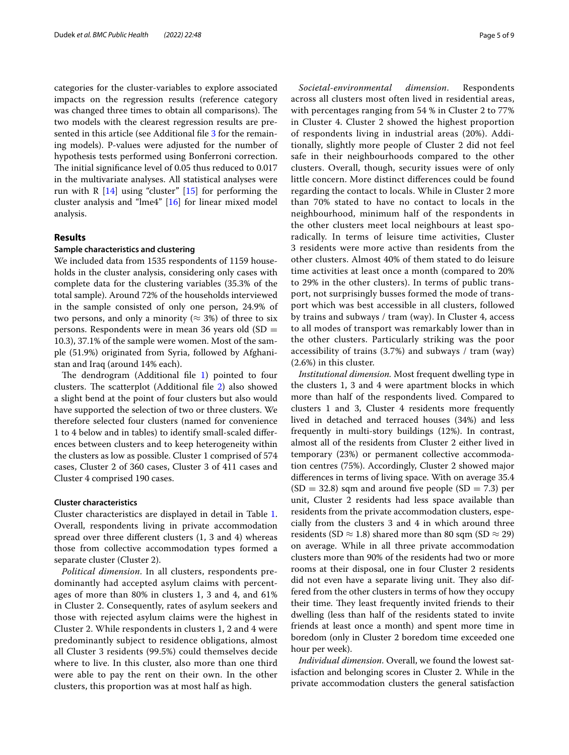categories for the cluster-variables to explore associated impacts on the regression results (reference category was changed three times to obtain all comparisons). The two models with the clearest regression results are pre-sented in this article (see Additional file [3](#page-7-0) for the remaining models). P-values were adjusted for the number of hypothesis tests performed using Bonferroni correction. The initial significance level of 0.05 thus reduced to 0.017 in the multivariate analyses. All statistical analyses were run with R  $[14]$  $[14]$  using "cluster"  $[15]$  $[15]$  $[15]$  for performing the cluster analysis and "lme4" [\[16](#page-8-15)] for linear mixed model analysis.

#### **Results**

#### **Sample characteristics and clustering**

We included data from 1535 respondents of 1159 households in the cluster analysis, considering only cases with complete data for the clustering variables (35.3% of the total sample). Around 72% of the households interviewed in the sample consisted of only one person, 24.9% of two persons, and only a minority ( $\approx$  3%) of three to six persons. Respondents were in mean 36 years old (SD = 10.3), 37.1% of the sample were women. Most of the sample (51.9%) originated from Syria, followed by Afghanistan and Iraq (around 14% each).

The dendrogram (Additional file  $1$ ) pointed to four clusters. The scatterplot (Additional file [2\)](#page-7-2) also showed a slight bend at the point of four clusters but also would have supported the selection of two or three clusters. We therefore selected four clusters (named for convenience 1 to 4 below and in tables) to identify small-scaled diferences between clusters and to keep heterogeneity within the clusters as low as possible. Cluster 1 comprised of 574 cases, Cluster 2 of 360 cases, Cluster 3 of 411 cases and Cluster 4 comprised 190 cases.

#### **Cluster characteristics**

Cluster characteristics are displayed in detail in Table [1](#page-3-0). Overall, respondents living in private accommodation spread over three diferent clusters (1, 3 and 4) whereas those from collective accommodation types formed a separate cluster (Cluster 2).

*Political dimension*. In all clusters, respondents predominantly had accepted asylum claims with percentages of more than 80% in clusters 1, 3 and 4, and 61% in Cluster 2. Consequently, rates of asylum seekers and those with rejected asylum claims were the highest in Cluster 2. While respondents in clusters 1, 2 and 4 were predominantly subject to residence obligations, almost all Cluster 3 residents (99.5%) could themselves decide where to live. In this cluster, also more than one third were able to pay the rent on their own. In the other clusters, this proportion was at most half as high.

*Societal-environmental dimension*. Respondents across all clusters most often lived in residential areas, with percentages ranging from 54 % in Cluster 2 to 77% in Cluster 4. Cluster 2 showed the highest proportion of respondents living in industrial areas (20%). Additionally, slightly more people of Cluster 2 did not feel safe in their neighbourhoods compared to the other clusters. Overall, though, security issues were of only little concern. More distinct diferences could be found regarding the contact to locals. While in Cluster 2 more than 70% stated to have no contact to locals in the neighbourhood, minimum half of the respondents in the other clusters meet local neighbours at least sporadically. In terms of leisure time activities, Cluster 3 residents were more active than residents from the other clusters. Almost 40% of them stated to do leisure time activities at least once a month (compared to 20% to 29% in the other clusters). In terms of public transport, not surprisingly busses formed the mode of transport which was best accessible in all clusters, followed by trains and subways / tram (way). In Cluster 4, access to all modes of transport was remarkably lower than in the other clusters. Particularly striking was the poor accessibility of trains (3.7%) and subways / tram (way) (2.6%) in this cluster.

*Institutional dimension.* Most frequent dwelling type in the clusters 1, 3 and 4 were apartment blocks in which more than half of the respondents lived. Compared to clusters 1 and 3, Cluster 4 residents more frequently lived in detached and terraced houses (34%) and less frequently in multi-story buildings (12%). In contrast, almost all of the residents from Cluster 2 either lived in temporary (23%) or permanent collective accommodation centres (75%). Accordingly, Cluster 2 showed major diferences in terms of living space. With on average 35.4  $(SD = 32.8)$  sqm and around five people  $(SD = 7.3)$  per unit, Cluster 2 residents had less space available than residents from the private accommodation clusters, especially from the clusters 3 and 4 in which around three residents (SD  $\approx$  1.8) shared more than 80 sqm (SD  $\approx$  29) on average. While in all three private accommodation clusters more than 90% of the residents had two or more rooms at their disposal, one in four Cluster 2 residents did not even have a separate living unit. They also differed from the other clusters in terms of how they occupy their time. They least frequently invited friends to their dwelling (less than half of the residents stated to invite friends at least once a month) and spent more time in boredom (only in Cluster 2 boredom time exceeded one hour per week).

*Individual dimension*. Overall, we found the lowest satisfaction and belonging scores in Cluster 2. While in the private accommodation clusters the general satisfaction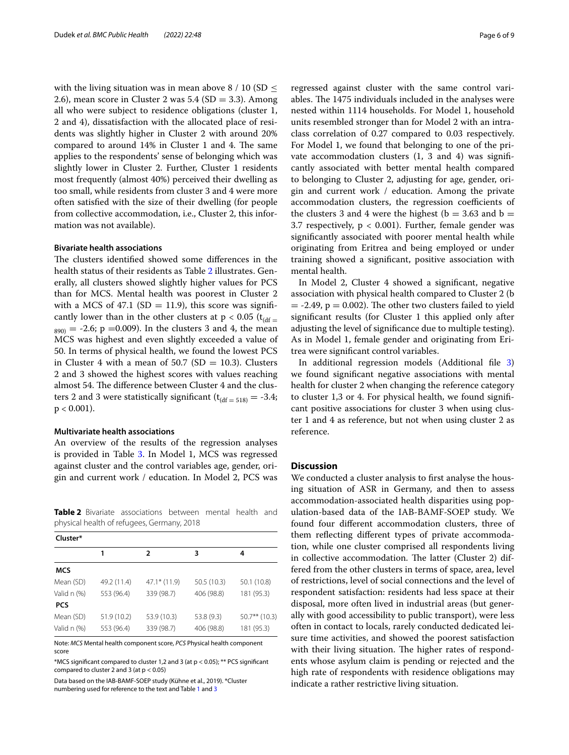with the living situation was in mean above 8 / 10 (SD  $\leq$ 2.6), mean score in Cluster 2 was  $5.4$  (SD = 3.3). Among all who were subject to residence obligations (cluster 1, 2 and 4), dissatisfaction with the allocated place of residents was slightly higher in Cluster 2 with around 20% compared to around  $14\%$  in Cluster 1 and 4. The same applies to the respondents' sense of belonging which was slightly lower in Cluster 2. Further, Cluster 1 residents most frequently (almost 40%) perceived their dwelling as too small, while residents from cluster 3 and 4 were more often satisfed with the size of their dwelling (for people from collective accommodation, i.e., Cluster 2, this information was not available).

#### **Bivariate health associations**

The clusters identified showed some differences in the health status of their residents as Table [2](#page-5-0) illustrates. Generally, all clusters showed slightly higher values for PCS than for MCS. Mental health was poorest in Cluster 2 with a MCS of 47.1 (SD = 11.9), this score was significantly lower than in the other clusters at  $p < 0.05$  ( $t_{\text{ddf}} =$  $S_{890)} = -2.6$ ; p = 0.009). In the clusters 3 and 4, the mean MCS was highest and even slightly exceeded a value of 50. In terms of physical health, we found the lowest PCS in Cluster 4 with a mean of 50.7 (SD = 10.3). Clusters 2 and 3 showed the highest scores with values reaching almost 54. The difference between Cluster 4 and the clusters 2 and 3 were statistically significant  $(t<sub>(df = 518)</sub> = -3.4;$  $p < 0.001$ ).

#### **Multivariate health associations**

An overview of the results of the regression analyses is provided in Table [3](#page-6-0). In Model 1, MCS was regressed against cluster and the control variables age, gender, origin and current work / education. In Model 2, PCS was

<span id="page-5-0"></span>**Table 2** Bivariate associations between mental health and physical health of refugees, Germany, 2018

| Cluster*    |             |                |             |                 |  |  |  |
|-------------|-------------|----------------|-------------|-----------------|--|--|--|
|             | 1           | 2              | 3           | 4               |  |  |  |
| <b>MCS</b>  |             |                |             |                 |  |  |  |
| Mean (SD)   | 49.2 (11.4) | $47.1*$ (11.9) | 50.5 (10.3) | 50.1 (10.8)     |  |  |  |
| Valid n (%) | 553 (96.4)  | 339 (98.7)     | 406 (98.8)  | 181 (95.3)      |  |  |  |
| <b>PCS</b>  |             |                |             |                 |  |  |  |
| Mean (SD)   | 51.9 (10.2) | 53.9 (10.3)    | 53.8 (9.3)  | $50.7**$ (10.3) |  |  |  |
| Valid n (%) | 553 (96.4)  | 339 (98.7)     | 406 (98.8)  | 181 (95.3)      |  |  |  |

Note: *MCS* Mental health component score, *PCS* Physical health component score

\*MCS signifcant compared to cluster 1,2 and 3 (at p < 0.05); \*\* PCS signifcant compared to cluster 2 and 3 (at  $p < 0.05$ )

Data based on the IAB-BAMF-SOEP study (Kühne et al., 2019). \*Cluster numbering used for reference to the text and Table [1](#page-3-0) and [3](#page-6-0)

regressed against cluster with the same control variables. The 1475 individuals included in the analyses were nested within 1114 households. For Model 1, household units resembled stronger than for Model 2 with an intraclass correlation of 0.27 compared to 0.03 respectively. For Model 1, we found that belonging to one of the private accommodation clusters (1, 3 and 4) was signifcantly associated with better mental health compared to belonging to Cluster 2, adjusting for age, gender, origin and current work / education. Among the private accommodation clusters, the regression coefficients of the clusters 3 and 4 were the highest ( $b = 3.63$  and  $b =$ 3.7 respectively,  $p < 0.001$ ). Further, female gender was signifcantly associated with poorer mental health while originating from Eritrea and being employed or under training showed a signifcant, positive association with mental health.

In Model 2, Cluster 4 showed a signifcant, negative association with physical health compared to Cluster 2 (b  $=$  -2.49,  $p = 0.002$ ). The other two clusters failed to yield signifcant results (for Cluster 1 this applied only after adjusting the level of signifcance due to multiple testing). As in Model 1, female gender and originating from Eritrea were signifcant control variables.

In additional regression models (Additional fle [3](#page-7-0)) we found signifcant negative associations with mental health for cluster 2 when changing the reference category to cluster 1,3 or 4. For physical health, we found signifcant positive associations for cluster 3 when using cluster 1 and 4 as reference, but not when using cluster 2 as reference.

#### **Discussion**

We conducted a cluster analysis to frst analyse the housing situation of ASR in Germany, and then to assess accommodation-associated health disparities using population-based data of the IAB-BAMF-SOEP study. We found four diferent accommodation clusters, three of them refecting diferent types of private accommodation, while one cluster comprised all respondents living in collective accommodation. The latter (Cluster 2) differed from the other clusters in terms of space, area, level of restrictions, level of social connections and the level of respondent satisfaction: residents had less space at their disposal, more often lived in industrial areas (but generally with good accessibility to public transport), were less often in contact to locals, rarely conducted dedicated leisure time activities, and showed the poorest satisfaction with their living situation. The higher rates of respondents whose asylum claim is pending or rejected and the high rate of respondents with residence obligations may indicate a rather restrictive living situation.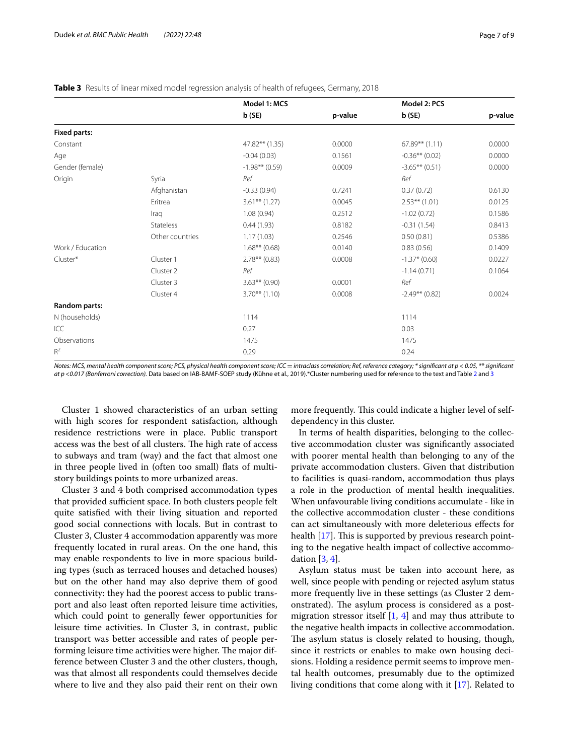#### <span id="page-6-0"></span>**Table 3** Results of linear mixed model regression analysis of health of refugees, Germany, 2018

|                     |                  | Model 1: MCS     |         | Model 2: PCS     |         |
|---------------------|------------------|------------------|---------|------------------|---------|
|                     |                  | b(SE)            | p-value | b(SE)            | p-value |
| <b>Fixed parts:</b> |                  |                  |         |                  |         |
| Constant            |                  | 47.82** (1.35)   | 0.0000  | $67.89**$ (1.11) | 0.0000  |
| Age                 |                  | $-0.04(0.03)$    | 0.1561  | $-0.36**$ (0.02) | 0.0000  |
| Gender (female)     |                  | $-1.98**$ (0.59) | 0.0009  | $-3.65***(0.51)$ | 0.0000  |
| Origin              | Syria            | Ref              |         | Ref              |         |
|                     | Afghanistan      | $-0.33(0.94)$    | 0.7241  | 0.37(0.72)       | 0.6130  |
|                     | Eritrea          | $3.61***(1.27)$  | 0.0045  | $2.53***(1.01)$  | 0.0125  |
|                     | Iraq             | 1.08(0.94)       | 0.2512  | $-1.02(0.72)$    | 0.1586  |
|                     | <b>Stateless</b> | 0.44(1.93)       | 0.8182  | $-0.31(1.54)$    | 0.8413  |
|                     | Other countries  | 1.17(1.03)       | 0.2546  | 0.50(0.81)       | 0.5386  |
| Work / Education    |                  | $1.68**$ (0.68)  | 0.0140  | 0.83(0.56)       | 0.1409  |
| Cluster*            | Cluster 1        | $2.78**$ (0.83)  | 0.0008  | $-1.37*$ (0.60)  | 0.0227  |
|                     | Cluster 2        | Ref              |         | $-1.14(0.71)$    | 0.1064  |
|                     | Cluster 3        | $3.63**$ (0.90)  | 0.0001  | Ref              |         |
|                     | Cluster 4        | $3.70***(1.10)$  | 0.0008  | $-2.49**$ (0.82) | 0.0024  |
| Random parts:       |                  |                  |         |                  |         |
| N (households)      |                  | 1114             |         | 1114             |         |
| ICC                 |                  | 0.27             |         | 0.03             |         |
| Observations        |                  | 1475             |         | 1475             |         |
| $R^2$               |                  | 0.29             |         | 0.24             |         |

*Notes: MCS, mental health component score; PCS, physical health component score; ICC* = intraclass correlation; Ref, reference category; \* significant at p < 0.05, \*\* significant *at p <0.017 (Bonferroni correction).* Data based on IAB-BAMF-SOEP study (Kühne et al., 2019).\*Cluster numbering used for reference to the text and Table [2](#page-5-0) and [3](#page-6-0)

Cluster 1 showed characteristics of an urban setting with high scores for respondent satisfaction, although residence restrictions were in place. Public transport access was the best of all clusters. The high rate of access to subways and tram (way) and the fact that almost one in three people lived in (often too small) fats of multistory buildings points to more urbanized areas.

Cluster 3 and 4 both comprised accommodation types that provided sufficient space. In both clusters people felt quite satisfed with their living situation and reported good social connections with locals. But in contrast to Cluster 3, Cluster 4 accommodation apparently was more frequently located in rural areas. On the one hand, this may enable respondents to live in more spacious building types (such as terraced houses and detached houses) but on the other hand may also deprive them of good connectivity: they had the poorest access to public transport and also least often reported leisure time activities, which could point to generally fewer opportunities for leisure time activities. In Cluster 3, in contrast, public transport was better accessible and rates of people performing leisure time activities were higher. The major difference between Cluster 3 and the other clusters, though, was that almost all respondents could themselves decide where to live and they also paid their rent on their own more frequently. This could indicate a higher level of selfdependency in this cluster.

In terms of health disparities, belonging to the collective accommodation cluster was signifcantly associated with poorer mental health than belonging to any of the private accommodation clusters. Given that distribution to facilities is quasi-random, accommodation thus plays a role in the production of mental health inequalities. When unfavourable living conditions accumulate - like in the collective accommodation cluster - these conditions can act simultaneously with more deleterious efects for health  $[17]$  $[17]$ . This is supported by previous research pointing to the negative health impact of collective accommodation [\[3](#page-8-2), [4\]](#page-8-3).

Asylum status must be taken into account here, as well, since people with pending or rejected asylum status more frequently live in these settings (as Cluster 2 demonstrated). The asylum process is considered as a postmigration stressor itself  $\left[1, 4\right]$  $\left[1, 4\right]$  $\left[1, 4\right]$  $\left[1, 4\right]$  $\left[1, 4\right]$  and may thus attribute to the negative health impacts in collective accommodation. The asylum status is closely related to housing, though, since it restricts or enables to make own housing decisions. Holding a residence permit seems to improve mental health outcomes, presumably due to the optimized living conditions that come along with it [[17\]](#page-8-16). Related to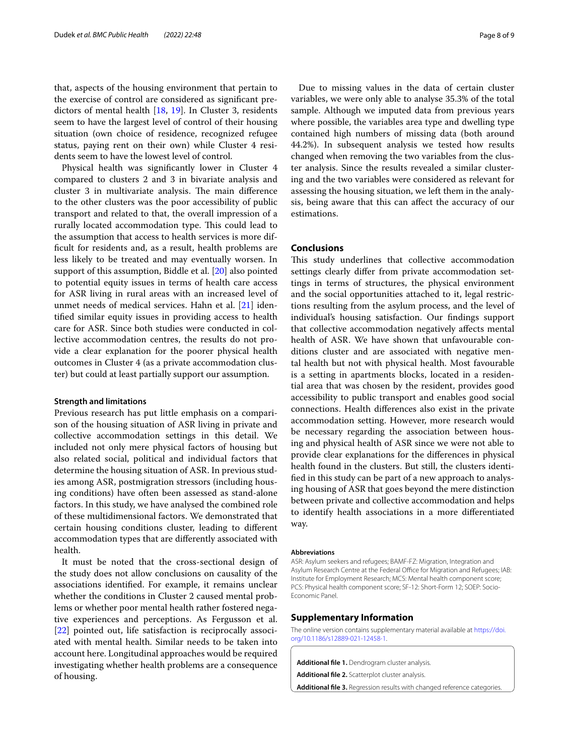that, aspects of the housing environment that pertain to the exercise of control are considered as signifcant predictors of mental health [[18](#page-8-17), [19\]](#page-8-18). In Cluster 3, residents seem to have the largest level of control of their housing situation (own choice of residence, recognized refugee status, paying rent on their own) while Cluster 4 residents seem to have the lowest level of control.

Physical health was signifcantly lower in Cluster 4 compared to clusters 2 and 3 in bivariate analysis and cluster 3 in multivariate analysis. The main difference to the other clusters was the poor accessibility of public transport and related to that, the overall impression of a rurally located accommodation type. This could lead to the assumption that access to health services is more diffcult for residents and, as a result, health problems are less likely to be treated and may eventually worsen. In support of this assumption, Biddle et al. [[20\]](#page-8-19) also pointed to potential equity issues in terms of health care access for ASR living in rural areas with an increased level of unmet needs of medical services. Hahn et al. [[21\]](#page-8-20) identifed similar equity issues in providing access to health care for ASR. Since both studies were conducted in collective accommodation centres, the results do not provide a clear explanation for the poorer physical health outcomes in Cluster 4 (as a private accommodation cluster) but could at least partially support our assumption.

#### **Strength and limitations**

Previous research has put little emphasis on a comparison of the housing situation of ASR living in private and collective accommodation settings in this detail. We included not only mere physical factors of housing but also related social, political and individual factors that determine the housing situation of ASR. In previous studies among ASR, postmigration stressors (including housing conditions) have often been assessed as stand-alone factors. In this study, we have analysed the combined role of these multidimensional factors. We demonstrated that certain housing conditions cluster, leading to diferent accommodation types that are diferently associated with health.

It must be noted that the cross-sectional design of the study does not allow conclusions on causality of the associations identifed. For example, it remains unclear whether the conditions in Cluster 2 caused mental problems or whether poor mental health rather fostered negative experiences and perceptions. As Fergusson et al. [[22\]](#page-8-21) pointed out, life satisfaction is reciprocally associated with mental health. Similar needs to be taken into account here. Longitudinal approaches would be required investigating whether health problems are a consequence of housing.

Due to missing values in the data of certain cluster variables, we were only able to analyse 35.3% of the total sample. Although we imputed data from previous years where possible, the variables area type and dwelling type contained high numbers of missing data (both around 44.2%). In subsequent analysis we tested how results changed when removing the two variables from the cluster analysis. Since the results revealed a similar clustering and the two variables were considered as relevant for assessing the housing situation, we left them in the analysis, being aware that this can afect the accuracy of our estimations.

#### **Conclusions**

This study underlines that collective accommodation settings clearly difer from private accommodation settings in terms of structures, the physical environment and the social opportunities attached to it, legal restrictions resulting from the asylum process, and the level of individual's housing satisfaction. Our fndings support that collective accommodation negatively afects mental health of ASR. We have shown that unfavourable conditions cluster and are associated with negative mental health but not with physical health. Most favourable is a setting in apartments blocks, located in a residential area that was chosen by the resident, provides good accessibility to public transport and enables good social connections. Health diferences also exist in the private accommodation setting. However, more research would be necessary regarding the association between housing and physical health of ASR since we were not able to provide clear explanations for the diferences in physical health found in the clusters. But still, the clusters identifed in this study can be part of a new approach to analysing housing of ASR that goes beyond the mere distinction between private and collective accommodation and helps to identify health associations in a more diferentiated way.

#### **Abbreviations**

ASR: Asylum seekers and refugees; BAMF-FZ: Migration, Integration and Asylum Research Centre at the Federal Office for Migration and Refugees; IAB: Institute for Employment Research; MCS: Mental health component score; PCS: Physical health component score; SF-12: Short-Form 12; SOEP: Socio-Economic Panel.

#### **Supplementary Information**

The online version contains supplementary material available at [https://doi.](https://doi.org/10.1186/s12889-021-12458-1) [org/10.1186/s12889-021-12458-1](https://doi.org/10.1186/s12889-021-12458-1).

<span id="page-7-1"></span>**Additional fle 1.** Dendrogram cluster analysis.

<span id="page-7-2"></span><span id="page-7-0"></span>**Additional fle 2.** Scatterplot cluster analysis.

**Additional fle 3.** Regression results with changed reference categories.